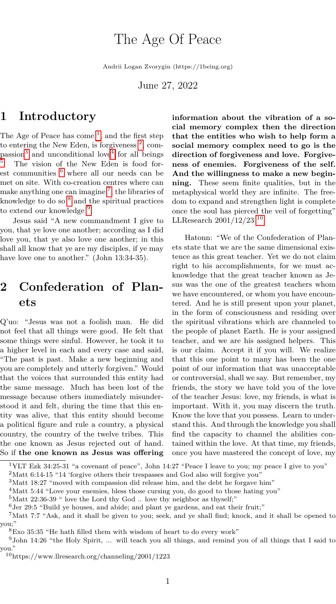# The Age Of Peace

Andrii Logan Zvorygin (https://1being.org)

June 27, 2022

### **1 Introductory**

The Age of Peace has come<sup>[1](#page-0-0)</sup>, and the first step to entering the New Eden, is forgiveness  $^2$  $^2$ , com-passion<sup>[3](#page-0-2)</sup> and unconditional love<sup>[4](#page-0-3)</sup> for all beings [5](#page-0-4) . The vision of the New Eden is food forest communities  $6$  where all our needs can be met on site. With co-creation centres where can make anything one can imagine<sup>[7](#page-0-6)</sup>, the libraries of knowledge to do so  $<sup>8</sup>$  $<sup>8</sup>$  $<sup>8</sup>$  and the spiritual practices</sup> to extend our knowledge<sup>[9](#page-0-8)</sup>.

Jesus said "A new commandment I give to you, that ye love one another; according as I did love you, that ye also love one another; in this shall all know that ye are my disciples, if ye may have love one to another." (John 13:34-35).

## **2 Confederation of Planets**

Q'uo: "Jesus was not a foolish man. He did not feel that all things were good. He felt that some things were sinful. However, he took it to a higher level in each and every case and said, "The past is past. Make a new beginning and you are completely and utterly forgiven." Would that the voices that surrounded this entity had the same message. Much has been lost of the message because others immediately misunderstood it and felt, during the time that this entity was alive, that this entity should become a political figure and rule a country, a physical country, the country of the twelve tribes. This the one known as Jesus rejected out of hand. So if **the one known as Jesus was offering** **information about the vibration of a social memory complex then the direction that the entities who wish to help form a social memory complex need to go is the direction of forgiveness and love. Forgiveness of enemies. Forgiveness of the self. And the willingness to make a new beginning.** These seem finite qualities, but in the metaphysical world they are infinite. The freedom to expand and strengthen light is complete once the soul has pierced the veil of forgetting" LLResearch  $2001/12/23$ <sup>[10](#page-0-9)</sup>

Hatonn: "We of the Confederation of Planets state that we are the same dimensional existence as this great teacher. Yet we do not claim right to his accomplishments, for we must acknowledge that the great teacher known as Jesus was the one of the greatest teachers whom we have encountered, or whom you have encountered. And he is still present upon your planet, in the form of consciousness and residing over the spiritual vibrations which are channeled to the people of planet Earth. He is your assigned teacher, and we are his assigned helpers. This is our claim. Accept it if you will. We realize that this one point to many has been the one point of our information that was unacceptable or controversial, shall we say. But remember, my friends, the story we have told you of the love of the teacher Jesus: love, my friends, is what is important. With it, you may discern the truth. Know the love that you possess. Learn to understand this. And through the knowledge you shall find the capacity to channel the abilities contained within the love. At that time, my friends, once you have mastered the concept of love, my

<span id="page-0-0"></span><sup>1</sup>YLT Ezk 34:25-31 "a covenant of peace", John 14:27 "Peace I leave to you; my peace I give to you"

<span id="page-0-1"></span> $^2 \text{Matt}$  6:14-15 "14 'forgive others their trespasses and God also will forgive you"

<span id="page-0-2"></span><sup>3</sup>Matt 18:27 "moved with compassion did release him, and the debt he forgave him"

<span id="page-0-3"></span><sup>&</sup>lt;sup>4</sup>Matt 5:44 "Love your enemies, bless those cursing you, do good to those hating you"

<span id="page-0-4"></span><sup>5</sup>Matt 22:36-39 " love the Lord thy God .. love thy neighbor as thyself;"

<span id="page-0-6"></span><span id="page-0-5"></span> $6$ Jer 29:5 "Build ye houses, and abide; and plant ye gardens, and eat their fruit;"

<sup>7</sup>Matt 7:7 "Ask, and it shall be given to you; seek, and ye shall find; knock, and it shall be opened to you;"

<span id="page-0-8"></span><span id="page-0-7"></span><sup>8</sup>Exo 35:35 "He hath filled them with wisdom of heart to do every work"

<sup>9</sup>John 14:26 "the Holy Spirit, ... will teach you all things, and remind you of all things that I said to you."

<span id="page-0-9"></span><sup>10</sup>https://www.llresearch.org/channeling/2001/1223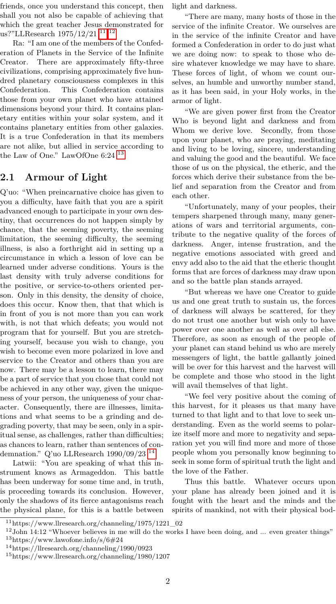friends, once you understand this concept, then shall you not also be capable of achieving that which the great teacher Jesus demonstrated for us?"LLResearch  $1975/12/21$ <sup>[11](#page-1-0)</sup><sup>12</sup>

Ra: "I am one of the members of the Confederation of Planets in the Service of the Infinite Creator. There are approximately fifty-three civilizations, comprising approximately five hundred planetary consciousness complexes in this Confederation. This Confederation contains those from your own planet who have attained dimensions beyond your third. It contains planetary entities within your solar system, and it contains planetary entities from other galaxies. It is a true Confederation in that its members are not alike, but allied in service according to the Law of One." LawOfOne  $6:24$ <sup>[13](#page-1-2)</sup>

#### **2.1 Armour of Light**

Q'uo: "When preincarnative choice has given to you a difficulty, have faith that you are a spirit advanced enough to participate in your own destiny, that occurrences do not happen simply by chance, that the seeming poverty, the seeming limitation, the seeming difficulty, the seeming illness, is also a forthright aid in setting up a circumstance in which a lesson of love can be learned under adverse conditions. Yours is the last density with truly adverse conditions for the positive, or service-to-others oriented person. Only in this density, the density of choice, does this occur. Know then, that that which is in front of you is not more than you can work with, is not that which defeats; you would not program that for yourself. But you are stretching yourself, because you wish to change, you wish to become even more polarized in love and service to the Creator and others than you are now. There may be a lesson to learn, there may be a part of service that you chose that could not be achieved in any other way, given the uniqueness of your person, the uniqueness of your character. Consequently, there are illnesses, limitations and what seems to be a grinding and degrading poverty, that may be seen, only in a spiritual sense, as challenges, rather than difficulties; as chances to learn, rather than sentences of con-demnation." Q'uo LLResearch 1990/09/23<sup>-[14](#page-1-3)</sup>

Latwii: "You are speaking of what this instrument knows as Armageddon. This battle has been underway for some time and, in truth, is proceeding towards its conclusion. However, only the shadows of its fierce antagonisms reach the physical plane, for this is a battle between light and darkness.

"There are many, many hosts of those in the service of the infinite Creator. We ourselves are in the service of the infinite Creator and have formed a Confederation in order to do just what we are doing now: to speak to those who desire whatever knowledge we may have to share. These forces of light, of whom we count ourselves, an humble and unworthy number stand, as it has been said, in your Holy works, in the armor of light.

"We are given power first from the Creator Who is beyond light and darkness and from Whom we derive love. Secondly, from those upon your planet, who are praying, meditating and living to be loving, sincere, understanding and valuing the good and the beautiful. We face those of us on the physical, the etheric, and the forces which derive their substance from the belief and separation from the Creator and from each other.

"Unfortunately, many of your peoples, their tempers sharpened through many, many generations of wars and territorial arguments, contribute to the negative quality of the forces of darkness. Anger, intense frustration, and the negative emotions associated with greed and envy add also to the aid that the etheric thought forms that are forces of darkness may draw upon and so the battle plan stands arrayed.

"But whereas we have one Creator to guide us and one great truth to sustain us, the forces of darkness will always be scattered, for they do not trust one another but wish only to have power over one another as well as over all else. Therefore, as soon as enough of the people of your planet can stand behind us who are merely messengers of light, the battle gallantly joined will be over for this harvest and the harvest will be complete and those who stood in the light will avail themselves of that light.

"We feel very positive about the coming of this harvest, for it pleases us that many have turned to that light and to that love to seek understanding. Even as the world seems to polarize itself more and more to negativity and separation yet you will find more and more of those people whom you personally know beginning to seek in some form of spiritual truth the light and the love of the Father.

Thus this battle. Whatever occurs upon your plane has already been joined and it is fought with the heart and the minds and the spirits of mankind, not with their physical bod-

<span id="page-1-0"></span> $^{11}\mathrm{https://www.llreesaarch.org/channeling/1975/1221\_02}$ 

<span id="page-1-2"></span><span id="page-1-1"></span><sup>&</sup>lt;sup>12</sup>John 14:12 "Whoever believes in me will do the works I have been doing, and ... even greater things" <sup>13</sup>https://www.lawofone.info/s/6#24

<span id="page-1-3"></span><sup>14</sup>https://llresearch.org/channeling/1990/0923

<span id="page-1-4"></span><sup>15</sup>https://www.llresearch.org/channeling/1980/1207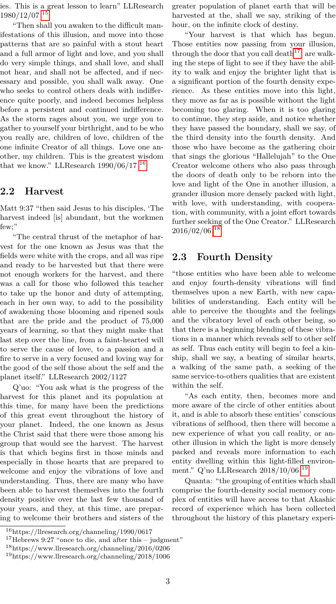ies. This is a great lesson to learn" LLResearch 1980/12/07 [15](#page-1-4)

"Then shall you awaken to the difficult manifestations of this illusion, and move into those patterns that are so painful with a stout heart and a full armor of light and love, and you shall do very simple things, and shall love, and shall not hear, and shall not be affected, and if necessary and possible, you shall walk away. One who seeks to control others deals with indifference quite poorly, and indeed becomes helpless before a persistent and continued indifference. As the storm rages about you, we urge you to gather to yourself your birthright, and to be who you really are, children of love, children of the one infinite Creator of all things. Love one another, my children. This is the greatest wisdom that we know." LLResearch  $1990/06/17$ <sup>[16](#page-2-0)</sup>

#### **2.2 Harvest**

Matt 9:37 "then said Jesus to his disciples, 'The harvest indeed [is] abundant, but the workmen few;"

"The central thrust of the metaphor of harvest for the one known as Jesus was that the fields were white with the crops, and all was ripe and ready to be harvested but that there were not enough workers for the harvest, and there was a call for those who followed this teacher to take up the honor and duty of attempting, each in her own way, to add to the possibility of awakening those blooming and ripened souls that are the pride and the product of 75,000 years of learning, so that they might make that last step over the line, from a faint-hearted will to serve the cause of love, to a passion and a fire to serve in a very focused and loving way for the good of the self those about the self and the planet itself." LLResearch 2002/1127

Q'uo: "You ask what is the progress of the harvest for this planet and its population at this time, for many have been the predictions of this great event throughout the history of your planet. Indeed, the one known as Jesus the Christ said that there were those among his group that would see the harvest. The harvest is that which begins first in those minds and especially in those hearts that are prepared to welcome and enjoy the vibrations of love and understanding. Thus, there are many who have been able to harvest themselves into the fourth density positive over the last few thousand of your years, and they, at this time, are preparing to welcome their brothers and sisters of the

greater population of planet earth that will be harvested at the, shall we say, striking of the hour, on the infinite clock of destiny.

"Your harvest is that which has begun. Those entities now passing from your illusion, through the door that you call death<sup>[17](#page-2-1)</sup>, are walking the steps of light to see if they have the ability to walk and enjoy the brighter light that is a significant portion of the fourth density experience. As these entities move into this light, they move as far as is possible without the light becoming too glaring. When it is too glaring to continue, they step aside, and notice whether they have passed the boundary, shall we say, of the third density into the fourth density. And those who have become as the gathering choir that sings the glorious "Hallelujah" to the One Creator welcome others who also pass through the doors of death only to be reborn into the love and light of the One in another illusion, a grander illusion more densely packed with light, with love, with understanding, with cooperation, with community, with a joint effort towards further seeking of the One Creator." LLResearch 2016/02/06 [18](#page-2-2)

#### **2.3 Fourth Density**

"those entities who have been able to welcome and enjoy fourth-density vibrations will find themselves upon a new Earth, with new capabilities of understanding. Each entity will be able to perceive the thoughts and the feelings and the vibratory level of each other being, so that there is a beginning blending of these vibrations in a manner which reveals self to other self as self. Thus each entity will begin to feel a kinship, shall we say, a beating of similar hearts, a walking of the same path, a seeking of the same service-to-others qualities that are existent within the self.

"As each entity, then, becomes more and more aware of the circle of other entities about it, and is able to absorb these entities' conscious vibrations of selfhood, then there will become a new experience of what you call reality, or another illusion in which the light is more densely packed and reveals more information to each entity dwelling within this light-filled environment." Q'uo LLResearch 2018/10/06 [19](#page-2-3)

Quanta: "the grouping of entities which shall comprise the fourth-density social memory complex of entities will have access to that Akashic record of experience which has been collected throughout the history of this planetary experi-

<span id="page-2-0"></span> $^{16}{\rm https://llresearch.org/channeling/1990/0617}$ 

<span id="page-2-1"></span><sup>17</sup>Hebrews 9:27 "once to die, and after this – judgment"

<span id="page-2-2"></span><sup>18</sup>https://www.llresearch.org/channeling/2016/0206

<span id="page-2-3"></span><sup>19</sup>https://www.llresearch.org/channeling/2018/1006